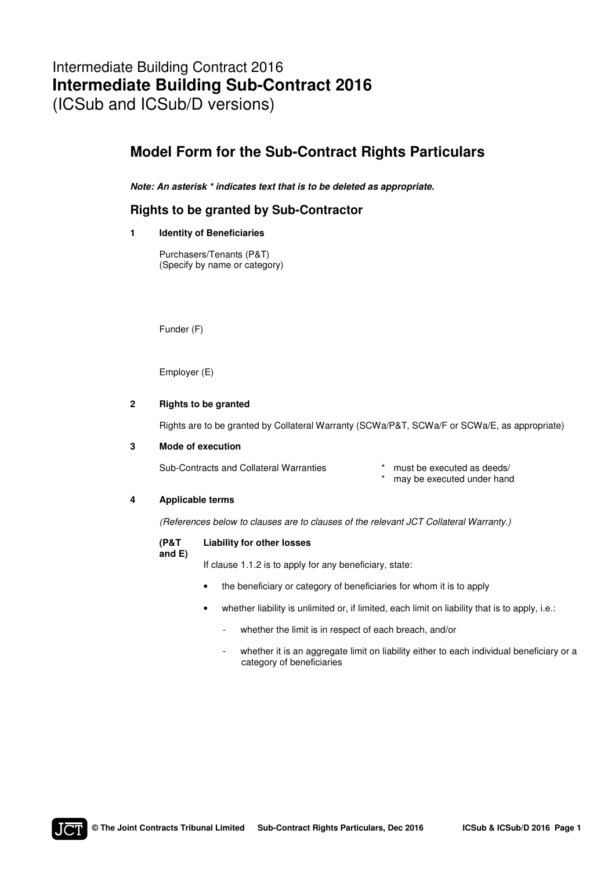# Intermediate Building Contract 2016 **Intermediate Building Sub-Contract 2016**  (ICSub and ICSub/D versions)

## **Model Form for the Sub-Contract Rights Particulars**

*Note: An asterisk \* indicates text that is to be deleted as appropriate.* 

### **Rights to be granted by Sub-Contractor**

**1 Identity of Beneficiaries**

Purchasers/Tenants (P&T) (Specify by name or category)

Funder (F)

Employer (E)

#### **2 Rights to be granted**

Rights are to be granted by Collateral Warranty (SCWa/P&T, SCWa/F or SCWa/E, as appropriate)

#### **3 Mode of execution**

Sub-Contracts and Collateral Warranties \* may be executed under hand must be executed as deeds/

#### **4 Applicable terms**

(References below to clauses are to clauses of the relevant JCT Collateral Warranty.)

#### **(P&T and E)**

#### **Liability for other losses**

If clause 1.1.2 is to apply for any beneficiary, state:

- the beneficiary or category of beneficiaries for whom it is to apply
- whether liability is unlimited or, if limited, each limit on liability that is to apply, i.e.:
	- whether the limit is in respect of each breach, and/or
	- whether it is an aggregate limit on liability either to each individual beneficiary or a category of beneficiaries